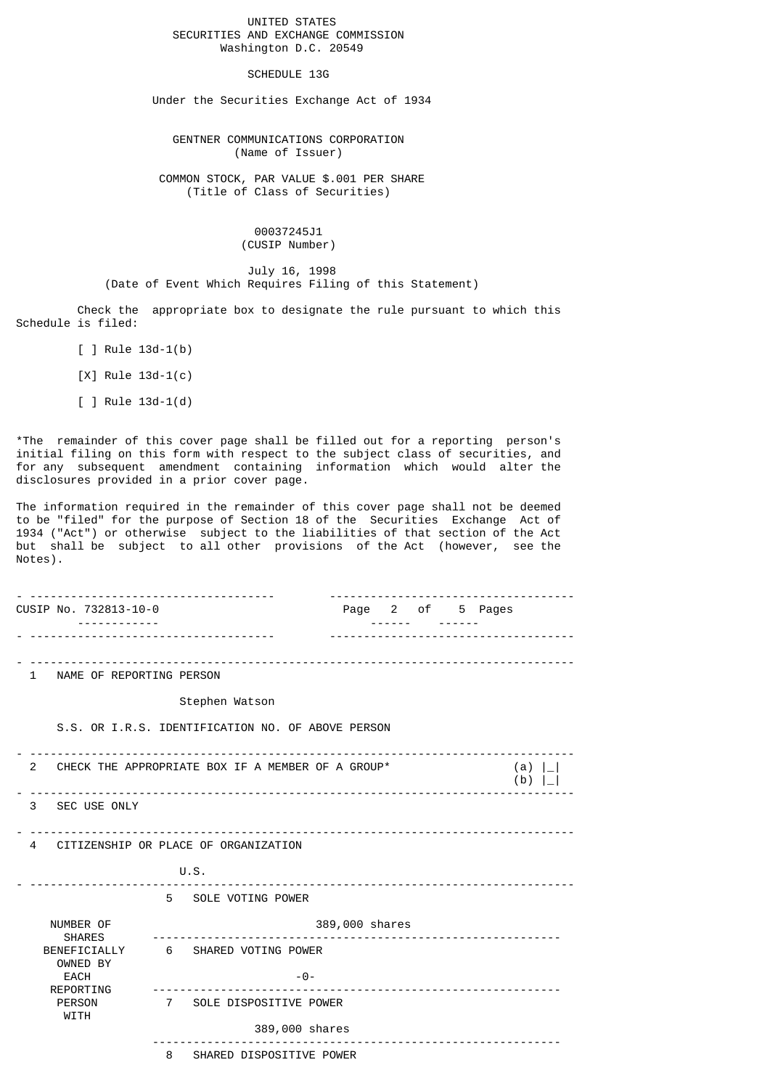## UNITED STATES SECURITIES AND EXCHANGE COMMISSION Washington D.C. 20549

## SCHEDULE 13G

Under the Securities Exchange Act of 1934

 GENTNER COMMUNICATIONS CORPORATION (Name of Issuer)

 COMMON STOCK, PAR VALUE \$.001 PER SHARE (Title of Class of Securities)

> 00037245J1 (CUSIP Number)

 July 16, 1998 (Date of Event Which Requires Filing of this Statement)

 Check the appropriate box to designate the rule pursuant to which this Schedule is filed:

 $[ ]$  Rule 13d-1(b)

[X] Rule 13d-1(c)

 $[ ]$  Rule 13d-1(d)

\*The remainder of this cover page shall be filled out for a reporting person's initial filing on this form with respect to the subject class of securities, and for any subsequent amendment containing information which would alter the disclosures provided in a prior cover page.

The information required in the remainder of this cover page shall not be deemed to be "filed" for the purpose of Section 18 of the Securities Exchange Act of 1934 ("Act") or otherwise subject to the liabilities of that section of the Act but shall be subject to all other provisions of the Act (however, see the Notes).

|                                                                  |                                                   | CUSIP No. 732813-10-0 |   |                                    |                |  |                |  | Page 2 of 5 Pages |
|------------------------------------------------------------------|---------------------------------------------------|-----------------------|---|------------------------------------|----------------|--|----------------|--|-------------------|
|                                                                  |                                                   |                       |   |                                    |                |  |                |  |                   |
|                                                                  | 1 NAME OF REPORTING PERSON                        |                       |   |                                    |                |  |                |  |                   |
|                                                                  |                                                   |                       |   | Stephen Watson                     |                |  |                |  |                   |
|                                                                  | S.S. OR I.R.S. IDENTIFICATION NO. OF ABOVE PERSON |                       |   |                                    |                |  |                |  |                   |
| CHECK THE APPROPRIATE BOX IF A MEMBER OF A GROUP*<br>$2^{\circ}$ |                                                   |                       |   |                                    |                |  | (a) $ $<br>(b) |  |                   |
|                                                                  |                                                   | 3 SEC USE ONLY        |   |                                    |                |  |                |  |                   |
| CITIZENSHIP OR PLACE OF ORGANIZATION<br>4                        |                                                   |                       |   |                                    |                |  |                |  |                   |
|                                                                  |                                                   |                       |   | U.S.                               |                |  |                |  |                   |
|                                                                  |                                                   |                       |   | 5 SOLE VOTING POWER                |                |  |                |  |                   |
|                                                                  | NUMBER OF<br><b>SHARES</b><br><b>EACH</b>         |                       |   |                                    | 389,000 shares |  |                |  |                   |
|                                                                  |                                                   | OWNED BY              |   | BENEFICIALLY 6 SHARED VOTING POWER |                |  |                |  |                   |
|                                                                  |                                                   | REPORTING             |   | $-0-$                              |                |  |                |  |                   |
|                                                                  | <b>PERSON</b><br><b>WITH</b>                      |                       |   | 7 SOLE DISPOSITIVE POWER           |                |  |                |  |                   |
|                                                                  |                                                   |                       |   | 389,000 shares                     |                |  |                |  |                   |
|                                                                  |                                                   |                       | 8 | SHARED DISPOSITIVE POWER           |                |  |                |  |                   |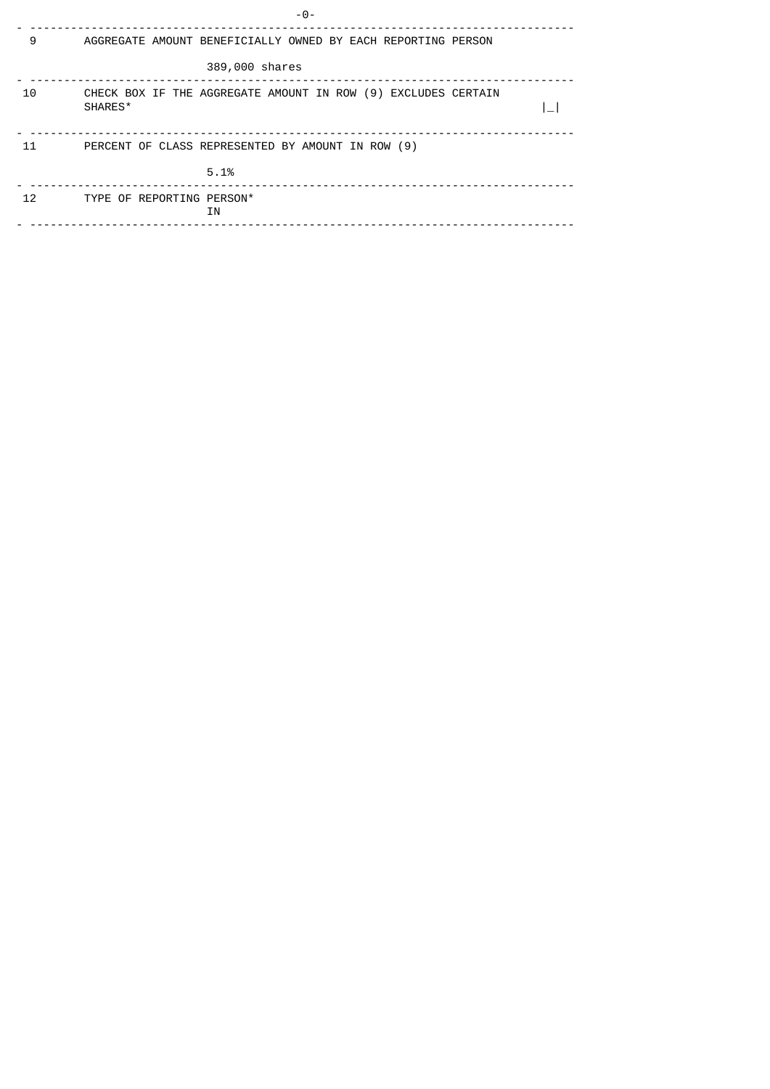|    | -0-                                                                      |
|----|--------------------------------------------------------------------------|
| 9  | AGGREGATE AMOUNT BENEFICIALLY OWNED BY EACH REPORTING PERSON             |
|    | 389,000 shares                                                           |
| 10 | CHECK BOX IF THE AGGREGATE AMOUNT IN ROW (9) EXCLUDES CERTAIN<br>SHARES* |
| 11 | PERCENT OF CLASS REPRESENTED BY AMOUNT IN ROW (9)                        |
|    | 5.1%                                                                     |
| 12 | TYPE OF REPORTING PERSON*<br>ΙN                                          |
|    |                                                                          |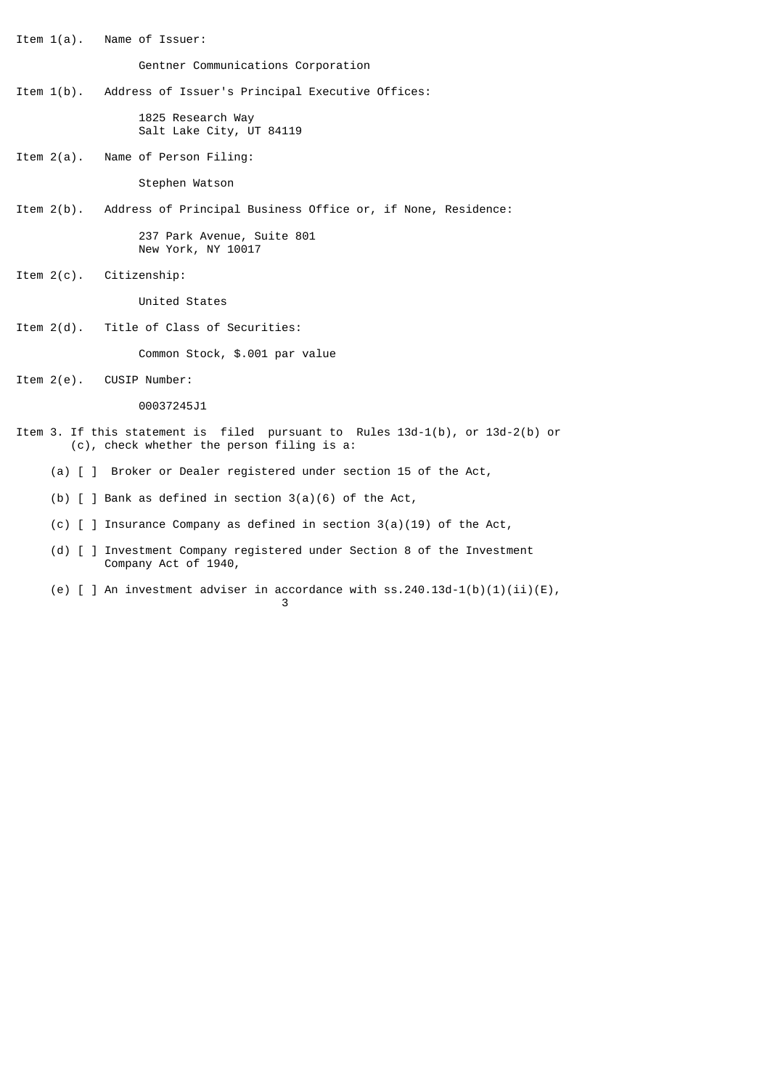Item 1(a). Name of Issuer: Gentner Communications Corporation Item 1(b). Address of Issuer's Principal Executive Offices: 1825 Research Way Salt Lake City, UT 84119 Item 2(a). Name of Person Filing: Stephen Watson Item 2(b). Address of Principal Business Office or, if None, Residence: 237 Park Avenue, Suite 801 New York, NY 10017 Item 2(c). Citizenship: United States Item 2(d). Title of Class of Securities: Common Stock, \$.001 par value Item 2(e). CUSIP Number: 00037245J1 Item 3. If this statement is filed pursuant to Rules 13d-1(b), or 13d-2(b) or (c), check whether the person filing is a: (a) [ ] Broker or Dealer registered under section 15 of the Act, (b) [ ] Bank as defined in section 3(a)(6) of the Act, (c) [ ] Insurance Company as defined in section 3(a)(19) of the Act,

 (d) [ ] Investment Company registered under Section 8 of the Investment Company Act of 1940,

 $\sim$  3

(e) [ ] An investment adviser in accordance with  $ss.240.13d-1(b)(1)(ii)(E)$ ,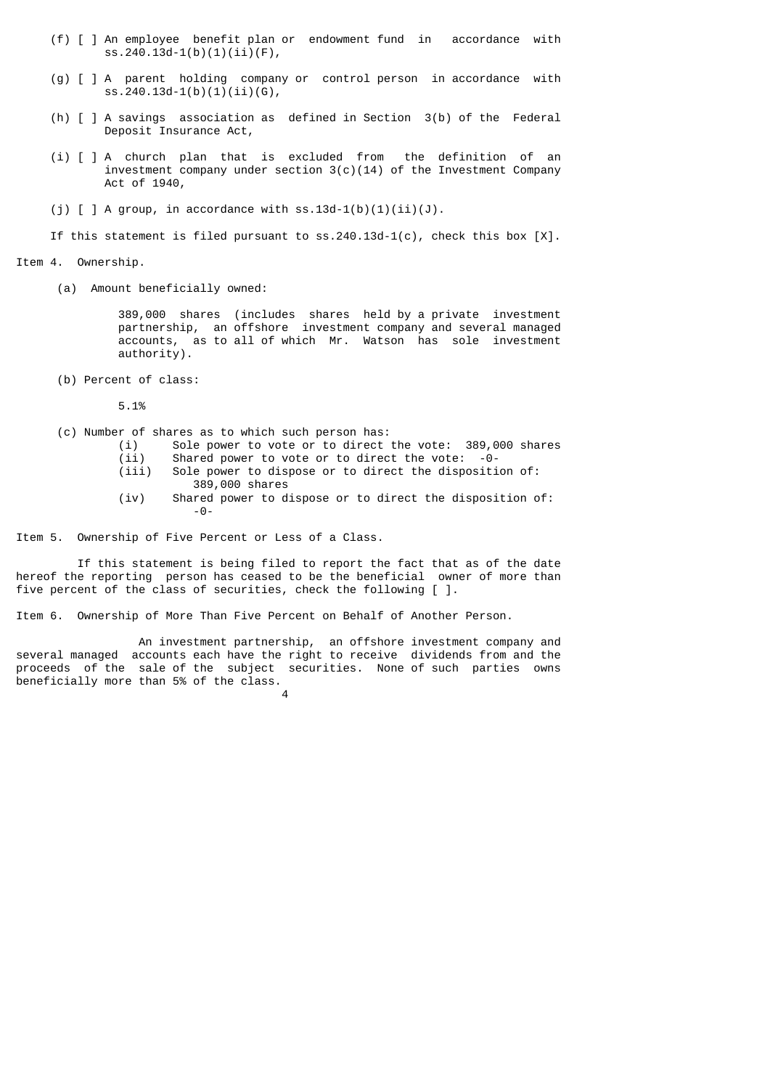- (f) [ ] An employee benefit plan or endowment fund in accordance with ss.240.13d-1(b)(1)(ii)(F),
- (g) [ ] A parent holding company or control person in accordance with ss.240.13d-1(b)(1)(ii)(G),
- (h) [ ] A savings association as defined in Section 3(b) of the Federal Deposit Insurance Act,
- (i) [ ] A church plan that is excluded from the definition of an investment company under section  $3(c)(14)$  of the Investment Company Act of 1940,
- (j)  $\lceil$   $\rceil$  A group, in accordance with ss.13d-1(b)(1)(ii)(J).

If this statement is filed pursuant to  $ss.240.13d-1(c)$ , check this box  $[X]$ .

Item 4. Ownership.

(a) Amount beneficially owned:

 389,000 shares (includes shares held by a private investment partnership, an offshore investment company and several managed accounts, as to all of which Mr. Watson has sole investment authority).

(b) Percent of class:

5.1%

- (c) Number of shares as to which such person has:
	- (i) Sole power to vote or to direct the vote: 389,000 shares<br>(ii) Shared power to vote or to direct the vote: -0-Shared power to vote or to direct the vote:  $-0$ -
		- (iii) Sole power to dispose or to direct the disposition of: 389,000 shares
- (iv) Shared power to dispose or to direct the disposition of: -0-

Item 5. Ownership of Five Percent or Less of a Class.

 If this statement is being filed to report the fact that as of the date hereof the reporting person has ceased to be the beneficial owner of more than five percent of the class of securities, check the following  $\lceil \cdot \rceil$ .

Item 6. Ownership of More Than Five Percent on Behalf of Another Person.

 An investment partnership, an offshore investment company and several managed accounts each have the right to receive dividends from and the proceeds of the sale of the subject securities. None of such parties owns beneficially more than 5% of the class.

4